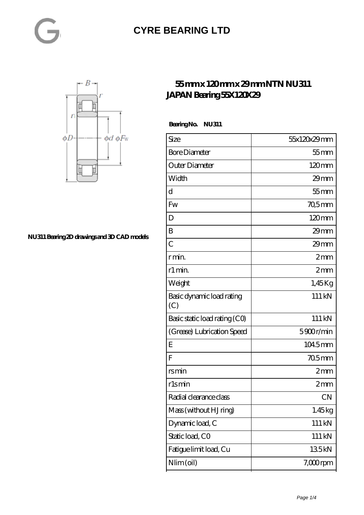#### **[CYRE BEARING LTD](https://kxt-bearing.com)**



#### **[NU311 Bearing 2D drawings and 3D CAD models](https://kxt-bearing.com/pic-315262.html)**

#### **[55 mm x 120 mm x 29 mm NTN NU311](https://kxt-bearing.com/az-315262-ntn-nu311-japan-bearing-55x120x29.html) [JAPAN Bearing 55X120X29](https://kxt-bearing.com/az-315262-ntn-nu311-japan-bearing-55x120x29.html)**

Bearing No. NU311

| Size                             | 55x120x29mm |
|----------------------------------|-------------|
| <b>Bore Diameter</b>             | $55$ mm     |
| Outer Diameter                   | 120mm       |
| Width                            | 29mm        |
| d                                | $55$ mm     |
| Fw                               | $705$ mm    |
| D                                | 120mm       |
| B                                | $29$ mm     |
| $\overline{C}$                   | $29$ mm     |
| r min.                           | 2mm         |
| r1 min.                          | 2mm         |
| Weight                           | $1,45$ Kg   |
| Basic dynamic load rating<br>(C) | 111 kN      |
| Basic static load rating (CO)    | 111 kN      |
| (Grease) Lubrication Speed       | 5900r/min   |
| E                                | 1045mm      |
| F                                | 705mm       |
| rsmin                            | 2mm         |
| rlsmin                           | 2mm         |
| Radial clearance class           | <b>CN</b>   |
| Mass (without HJ ring)           | 1.45kg      |
| Dynamic load, C                  | 111 kN      |
| Static load, CO                  | 111 kN      |
| Fatigue limit load, Cu           | 135kN       |
| Nlim (oil)                       | $7,000$ rpm |
|                                  |             |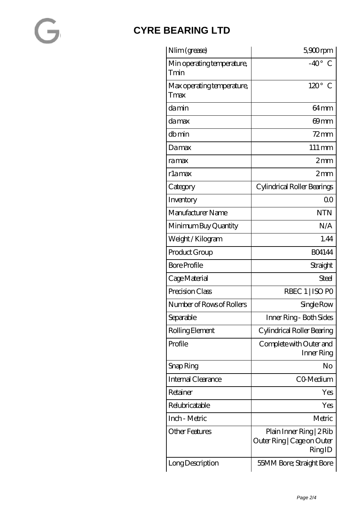# $\blacksquare$

### **[CYRE BEARING LTD](https://kxt-bearing.com)**

| Nlim (grease)                      | $5900$ rpm                                                       |
|------------------------------------|------------------------------------------------------------------|
| Min operating temperature,<br>Tmin | $-40^{\circ}$<br>C                                               |
| Max operating temperature,<br>Tmax | $120^\circ$<br>$\mathcal{C}$                                     |
| damin                              | 64 <sub>mm</sub>                                                 |
| damax                              | 69mm                                                             |
| dbmin                              | $72 \text{mm}$                                                   |
| Damax                              | $111 \,\mathrm{mm}$                                              |
| ramax                              | $2 \text{mm}$                                                    |
| rlamax                             | 2mm                                                              |
| Category                           | Cylindrical Roller Bearings                                      |
| Inventory                          | 0 <sup>0</sup>                                                   |
| Manufacturer Name                  | <b>NTN</b>                                                       |
| Minimum Buy Quantity               | N/A                                                              |
| Weight /Kilogram                   | 1.44                                                             |
| Product Group                      | <b>BO4144</b>                                                    |
| <b>Bore Profile</b>                | Straight                                                         |
| Cage Material                      | Steel                                                            |
| Precision Class                    | RBEC 1   ISO PO                                                  |
| Number of Rows of Rollers          | Single Row                                                       |
| Separable                          | Inner Ring- Both Sides                                           |
| Rolling Element                    | Cylindrical Roller Bearing                                       |
| Profile                            | Complete with Outer and<br>Inner Ring                            |
| Snap Ring                          | No                                                               |
| Internal Clearance                 | CO-Medium                                                        |
| Retainer                           | Yes                                                              |
| Relubricatable                     | Yes                                                              |
| Inch - Metric                      | Metric                                                           |
| <b>Other Features</b>              | Plain Inner Ring   2 Rib<br>Outer Ring   Cage on Outer<br>RingID |
| Long Description                   | 55MM Bore; Straight Bore                                         |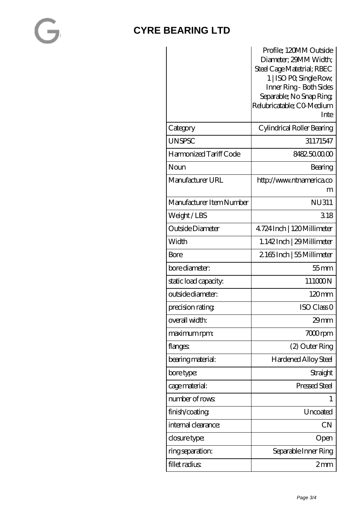# $\overline{\phantom{a}}$

#### **[CYRE BEARING LTD](https://kxt-bearing.com)**

|                          | Profile; 120MM Outside<br>Diameter; 29MM Width;<br>Steel Cage Matetrial; RBEC<br>1   ISO PO, Single Row,<br>Inner Ring - Both Sides<br>Separable; No Snap Ring;<br>Relubricatable; CO Medium<br>Inte |
|--------------------------|------------------------------------------------------------------------------------------------------------------------------------------------------------------------------------------------------|
| Category                 | Cylindrical Roller Bearing                                                                                                                                                                           |
| <b>UNSPSC</b>            | 31171547                                                                                                                                                                                             |
| Harmonized Tariff Code   | 8482.5000.00                                                                                                                                                                                         |
| Noun                     | Bearing                                                                                                                                                                                              |
| Manufacturer URL         | http://www.ntnamerica.co                                                                                                                                                                             |
|                          | m                                                                                                                                                                                                    |
| Manufacturer Item Number | <b>NU311</b>                                                                                                                                                                                         |
| Weight/LBS               | 318                                                                                                                                                                                                  |
| Outside Diameter         | 4724 Inch   120 Millimeter                                                                                                                                                                           |
| Width                    | 1.142Inch   29 Millimeter                                                                                                                                                                            |
| Bore                     | 2165Inch   55 Millimeter                                                                                                                                                                             |
| bore diameter:           | $55$ mm                                                                                                                                                                                              |
| static load capacity.    | 111000N                                                                                                                                                                                              |
| outside diameter:        | $120 \text{mm}$                                                                                                                                                                                      |
| precision rating         | ISO Class <sub>O</sub>                                                                                                                                                                               |
| overall width:           | 29mm                                                                                                                                                                                                 |
| maximum rpm:             | $700$ rpm                                                                                                                                                                                            |
| flanges:                 | (2) Outer Ring                                                                                                                                                                                       |
| bearing material:        | <b>Hardened Alloy Steel</b>                                                                                                                                                                          |
| bore type:               | Straight                                                                                                                                                                                             |
| cage material:           | Pressed Steel                                                                                                                                                                                        |
| number of rows           |                                                                                                                                                                                                      |
| finish/coating           | Uncoated                                                                                                                                                                                             |
| internal clearance:      | <b>CN</b>                                                                                                                                                                                            |
| closure type:            | Open                                                                                                                                                                                                 |
| ring separation:         | Separable Inner Ring                                                                                                                                                                                 |
| fillet radius            | 2mm                                                                                                                                                                                                  |
|                          |                                                                                                                                                                                                      |